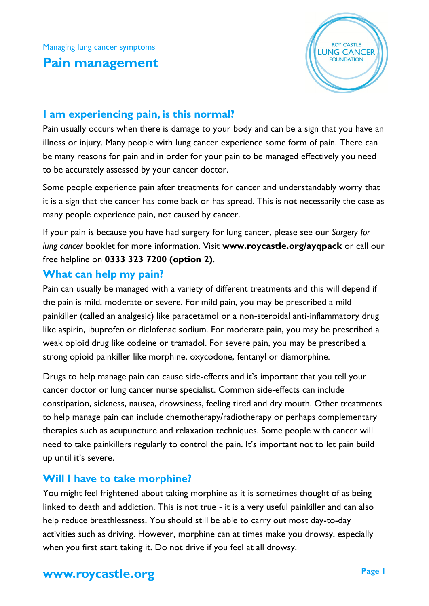# **Pain management**



## **I am experiencing pain, is this normal?**

Pain usually occurs when there is damage to your body and can be a sign that you have an illness or injury. Many people with lung cancer experience some form of pain. There can be many reasons for pain and in order for your pain to be managed effectively you need to be accurately assessed by your cancer doctor.

Some people experience pain after treatments for cancer and understandably worry that it is a sign that the cancer has come back or has spread. This is not necessarily the case as many people experience pain, not caused by cancer.

If your pain is because you have had surgery for lung cancer, please see our *Surgery for lung cancer* booklet for more information. Visit **www.roycastle.org/ayqpack** or call our free helpline on **0333 323 7200 (option 2)**.

### **What can help my pain?**

Pain can usually be managed with a variety of different treatments and this will depend if the pain is mild, moderate or severe. For mild pain, you may be prescribed a mild painkiller (called an analgesic) like paracetamol or a non-steroidal anti-inflammatory drug like aspirin, ibuprofen or diclofenac sodium. For moderate pain, you may be prescribed a weak opioid drug like codeine or tramadol. For severe pain, you may be prescribed a strong opioid painkiller like morphine, oxycodone, fentanyl or diamorphine.

Drugs to help manage pain can cause side-effects and it's important that you tell your cancer doctor or lung cancer nurse specialist. Common side-effects can include constipation, sickness, nausea, drowsiness, feeling tired and dry mouth. Other treatments to help manage pain can include chemotherapy/radiotherapy or perhaps complementary therapies such as acupuncture and relaxation techniques. Some people with cancer will need to take painkillers regularly to control the pain. It's important not to let pain build up until it's severe.

## **Will I have to take morphine?**

You might feel frightened about taking morphine as it is sometimes thought of as being linked to death and addiction. This is not true - it is a very useful painkiller and can also help reduce breathlessness. You should still be able to carry out most day-to-day activities such as driving. However, morphine can at times make you drowsy, especially when you first start taking it. Do not drive if you feel at all drowsy.